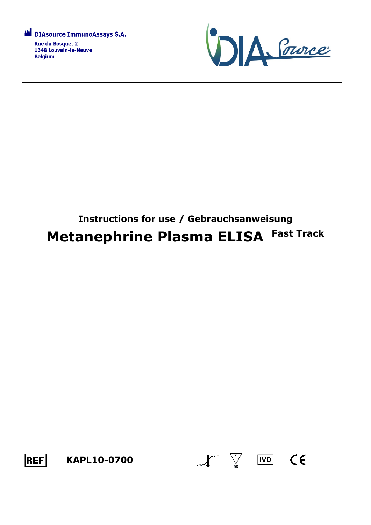



# **Instructions for use / Gebrauchsanweisung Metanephrine Plasma ELISA Fast Track**



 $\sum_{2^{n}C}$   $\sqrt{\sum_{96}^{8^{n}C}}$ 

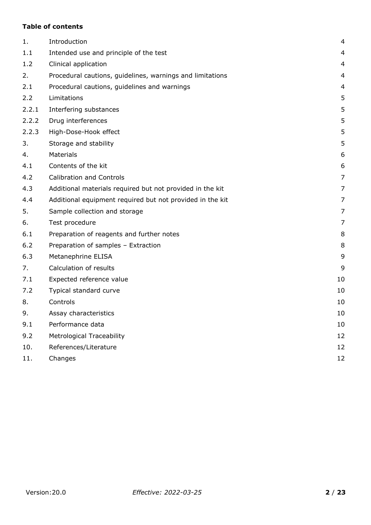## **Table of contents**

| 1.    | Introduction                                              | 4  |
|-------|-----------------------------------------------------------|----|
| 1.1   | Intended use and principle of the test                    | 4  |
| 1.2   | Clinical application                                      | 4  |
| 2.    | Procedural cautions, guidelines, warnings and limitations | 4  |
| 2.1   | Procedural cautions, guidelines and warnings              | 4  |
| 2.2   | Limitations                                               | 5  |
| 2.2.1 | Interfering substances                                    | 5  |
| 2.2.2 | Drug interferences                                        | 5  |
| 2.2.3 | High-Dose-Hook effect                                     | 5  |
| 3.    | Storage and stability                                     | 5  |
| 4.    | <b>Materials</b>                                          | 6  |
| 4.1   | Contents of the kit                                       | 6  |
| 4.2   | <b>Calibration and Controls</b>                           | 7  |
| 4.3   | Additional materials required but not provided in the kit | 7  |
| 4.4   | Additional equipment required but not provided in the kit | 7  |
| 5.    | Sample collection and storage                             | 7  |
| 6.    | Test procedure                                            | 7  |
| 6.1   | Preparation of reagents and further notes                 | 8  |
| 6.2   | Preparation of samples - Extraction                       | 8  |
| 6.3   | Metanephrine ELISA                                        | 9  |
| 7.    | Calculation of results                                    | 9  |
| 7.1   | Expected reference value                                  | 10 |
| 7.2   | Typical standard curve                                    | 10 |
| 8.    | Controls                                                  | 10 |
| 9.    | Assay characteristics                                     | 10 |
| 9.1   | Performance data                                          | 10 |
| 9.2   | <b>Metrological Traceability</b>                          | 12 |
| 10.   | References/Literature                                     | 12 |
| 11.   | Changes                                                   | 12 |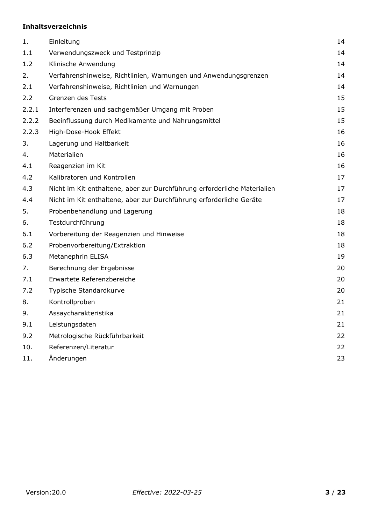## **Inhaltsverzeichnis**

| Einleitung                                                               | 14 |
|--------------------------------------------------------------------------|----|
| Verwendungszweck und Testprinzip                                         | 14 |
| Klinische Anwendung                                                      | 14 |
| Verfahrenshinweise, Richtlinien, Warnungen und Anwendungsgrenzen         | 14 |
| Verfahrenshinweise, Richtlinien und Warnungen                            | 14 |
| Grenzen des Tests                                                        | 15 |
| Interferenzen und sachgemäßer Umgang mit Proben                          | 15 |
| Beeinflussung durch Medikamente und Nahrungsmittel                       | 15 |
| High-Dose-Hook Effekt                                                    | 16 |
| Lagerung und Haltbarkeit                                                 | 16 |
| Materialien                                                              | 16 |
| Reagenzien im Kit                                                        | 16 |
| Kalibratoren und Kontrollen                                              | 17 |
| Nicht im Kit enthaltene, aber zur Durchführung erforderliche Materialien | 17 |
| Nicht im Kit enthaltene, aber zur Durchführung erforderliche Geräte      | 17 |
| Probenbehandlung und Lagerung                                            | 18 |
| Testdurchführung                                                         | 18 |
| Vorbereitung der Reagenzien und Hinweise                                 | 18 |
| Probenvorbereitung/Extraktion                                            | 18 |
| Metanephrin ELISA                                                        | 19 |
| Berechnung der Ergebnisse                                                | 20 |
| Erwartete Referenzbereiche                                               | 20 |
| Typische Standardkurve                                                   | 20 |
| Kontrollproben                                                           | 21 |
| Assaycharakteristika                                                     | 21 |
| Leistungsdaten                                                           | 21 |
| Metrologische Rückführbarkeit                                            | 22 |
| Referenzen/Literatur                                                     | 22 |
| Änderungen                                                               | 23 |
|                                                                          |    |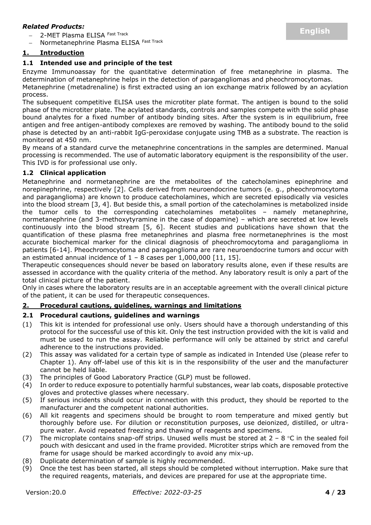## *Related Products:*

2-MET Plasma ELISA Fast Track

Normetanephrine Plasma ELISA Fast Track

## <span id="page-3-0"></span>**1. Introduction**

## <span id="page-3-1"></span>**1.1 Intended use and principle of the test**

Enzyme Immunoassay for the quantitative determination of free metanephrine in plasma. The determination of metanephrine helps in the detection of paragangliomas and pheochromocytomas.

Metanephrine (metadrenaline) is first extracted using an ion exchange matrix followed by an acylation process.

The subsequent competitive ELISA uses the microtiter plate format. The antigen is bound to the solid phase of the microtiter plate. The acylated standards, controls and samples compete with the solid phase bound analytes for a fixed number of antibody binding sites. After the system is in equilibrium, free antigen and free antigen-antibody complexes are removed by washing. The antibody bound to the solid phase is detected by an anti-rabbit IgG-peroxidase conjugate using TMB as a substrate. The reaction is monitored at 450 nm.

By means of a standard curve the metanephrine concentrations in the samples are determined. Manual processing is recommended. The use of automatic laboratory equipment is the responsibility of the user. This IVD is for professional use only.

#### <span id="page-3-2"></span>**1.2 Clinical application**

Metanephrine and normetanephrine are the metabolites of the catecholamines epinephrine and norepinephrine, respectively [2]. Cells derived from neuroendocrine tumors (e. g., pheochromocytoma and paraganglioma) are known to produce catecholamines, which are secreted episodically via vesicles into the blood stream [3, 4]. But beside this, a small portion of the catecholamines is metabolized inside the tumor cells to the corresponding catecholamines metabolites – namely metanephrine, normetanephrine (and 3-methoxytyramine in the case of dopamine) – which are secreted at low levels continuously into the blood stream [5, 6]. Recent studies and publications have shown that the quantification of these plasma free metanephrines and plasma free normetanephrines is the most accurate biochemical marker for the clinical diagnosis of pheochromocytoma and paraganglioma in patients [6-14]. Pheochromocytoma and paraganglioma are rare neuroendocrine tumors and occur with an estimated annual incidence of  $1 - 8$  cases per 1,000,000 [11, 15].

Therapeutic consequences should never be based on laboratory results alone, even if these results are assessed in accordance with the quality criteria of the method. Any laboratory result is only a part of the total clinical picture of the patient.

Only in cases where the laboratory results are in an acceptable agreement with the overall clinical picture of the patient, it can be used for therapeutic consequences.

## <span id="page-3-3"></span>**2. Procedural cautions, guidelines, warnings and limitations**

#### <span id="page-3-4"></span>**2.1 Procedural cautions, guidelines and warnings**

- (1) This kit is intended for professional use only. Users should have a thorough understanding of this protocol for the successful use of this kit. Only the test instruction provided with the kit is valid and must be used to run the assay. Reliable performance will only be attained by strict and careful adherence to the instructions provided.
- (2) This assay was validated for a certain type of sample as indicated in Intended Use (please refer to Chapter 1). Any off-label use of this kit is in the responsibility of the user and the manufacturer cannot be held liable.
- (3) The principles of Good Laboratory Practice (GLP) must be followed.
- (4) In order to reduce exposure to potentially harmful substances, wear lab coats, disposable protective gloves and protective glasses where necessary.
- (5) If serious incidents should occur in connection with this product, they should be reported to the manufacturer and the competent national authorities.
- (6) All kit reagents and specimens should be brought to room temperature and mixed gently but thoroughly before use. For dilution or reconstitution purposes, use deionized, distilled, or ultrapure water. Avoid repeated freezing and thawing of reagents and specimens.
- (7) The microplate contains snap-off strips. Unused wells must be stored at  $2 8$  °C in the sealed foil pouch with desiccant and used in the frame provided. Microtiter strips which are removed from the frame for usage should be marked accordingly to avoid any mix-up.
- (8) Duplicate determination of sample is highly recommended.
- (9) Once the test has been started, all steps should be completed without interruption. Make sure that the required reagents, materials, and devices are prepared for use at the appropriate time.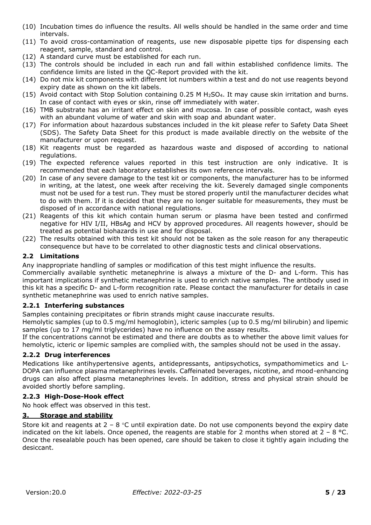- (10) Incubation times do influence the results. All wells should be handled in the same order and time intervals.
- (11) To avoid cross-contamination of reagents, use new disposable pipette tips for dispensing each reagent, sample, standard and control.
- (12) A standard curve must be established for each run.
- (13) The controls should be included in each run and fall within established confidence limits. The confidence limits are listed in the QC-Report provided with the kit.
- (14) Do not mix kit components with different lot numbers within a test and do not use reagents beyond expiry date as shown on the kit labels.
- (15) Avoid contact with Stop Solution containing 0.25 M H2SO4. It may cause skin irritation and burns. In case of contact with eyes or skin, rinse off immediately with water.
- (16) TMB substrate has an irritant effect on skin and mucosa. In case of possible contact, wash eyes with an abundant volume of water and skin with soap and abundant water.
- (17) For information about hazardous substances included in the kit please refer to Safety Data Sheet (SDS). The Safety Data Sheet for this product is made available directly on the website of the manufacturer or upon request.
- (18) Kit reagents must be regarded as hazardous waste and disposed of according to national regulations.
- (19) The expected reference values reported in this test instruction are only indicative. It is recommended that each laboratory establishes its own reference intervals.
- (20) In case of any severe damage to the test kit or components, the manufacturer has to be informed in writing, at the latest, one week after receiving the kit. Severely damaged single components must not be used for a test run. They must be stored properly until the manufacturer decides what to do with them. If it is decided that they are no longer suitable for measurements, they must be disposed of in accordance with national regulations.
- (21) Reagents of this kit which contain human serum or plasma have been tested and confirmed negative for HIV I/II, HBsAg and HCV by approved procedures. All reagents however, should be treated as potential biohazards in use and for disposal.
- (22) The results obtained with this test kit should not be taken as the sole reason for any therapeutic consequence but have to be correlated to other diagnostic tests and clinical observations.

## <span id="page-4-0"></span>**2.2 Limitations**

Any inappropriate handling of samples or modification of this test might influence the results.

Commercially available synthetic metanephrine is always a mixture of the D- and L-form. This has important implications if synthetic metanephrine is used to enrich native samples. The antibody used in this kit has a specific D- and L-form recognition rate. Please contact the manufacturer for details in case synthetic metanephrine was used to enrich native samples.

#### <span id="page-4-1"></span>**2.2.1 Interfering substances**

Samples containing precipitates or fibrin strands might cause inaccurate results.

Hemolytic samples (up to 0.5 mg/ml hemoglobin), icteric samples (up to 0.5 mg/ml bilirubin) and lipemic samples (up to 17 mg/ml triglycerides) have no influence on the assay results.

If the concentrations cannot be estimated and there are doubts as to whether the above limit values for hemolytic, icteric or lipemic samples are complied with, the samples should not be used in the assay.

## <span id="page-4-2"></span>**2.2.2 Drug interferences**

Medications like antihypertensive agents, antidepressants, antipsychotics, sympathomimetics and L-DOPA can influence plasma metanephrines levels. Caffeinated beverages, nicotine, and mood-enhancing drugs can also affect plasma metanephrines levels. In addition, stress and physical strain should be avoided shortly before sampling.

## <span id="page-4-3"></span>**2.2.3 High-Dose-Hook effect**

No hook effect was observed in this test.

## <span id="page-4-4"></span>**3. Storage and stability**

<span id="page-4-5"></span>Store kit and reagents at  $2 - 8$  °C until expiration date. Do not use components beyond the expiry date indicated on the kit labels. Once opened, the reagents are stable for 2 months when stored at  $2 - 8$  °C. Once the resealable pouch has been opened, care should be taken to close it tightly again including the desiccant.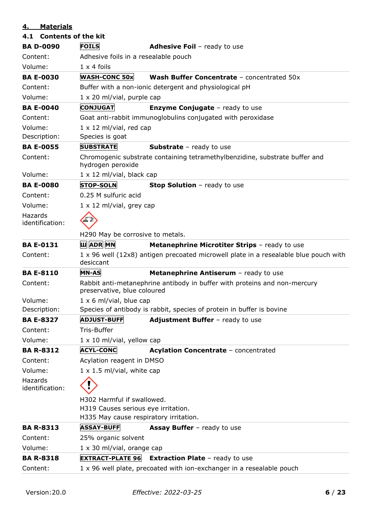# **4. Materials**

<span id="page-5-0"></span>

| 4.1 Contents of the kit    |                                                         |                                                                                      |  |  |  |  |
|----------------------------|---------------------------------------------------------|--------------------------------------------------------------------------------------|--|--|--|--|
| <b>BA D-0090</b>           | <b>FOILS</b><br><b>Adhesive Foil</b> - ready to use     |                                                                                      |  |  |  |  |
| Content:                   | Adhesive foils in a resealable pouch                    |                                                                                      |  |  |  |  |
| Volume:                    | $1 \times 4$ foils                                      |                                                                                      |  |  |  |  |
| <b>BA E-0030</b>           | <b>WASH-CONC 50x</b>                                    | Wash Buffer Concentrate - concentrated 50x                                           |  |  |  |  |
| Content:                   |                                                         | Buffer with a non-ionic detergent and physiological pH                               |  |  |  |  |
| Volume:                    | $1 \times 20$ ml/vial, purple cap                       |                                                                                      |  |  |  |  |
| <b>BA E-0040</b>           | <b>CONJUGAT</b>                                         | <b>Enzyme Conjugate</b> - ready to use                                               |  |  |  |  |
| Content:                   |                                                         | Goat anti-rabbit immunoglobulins conjugated with peroxidase                          |  |  |  |  |
| Volume:                    | $1 \times 12$ ml/vial, red cap                          |                                                                                      |  |  |  |  |
| Description:               | Species is goat                                         |                                                                                      |  |  |  |  |
| <b>BA E-0055</b>           | <b>SUBSTRATE</b>                                        | <b>Substrate</b> - ready to use                                                      |  |  |  |  |
| Content:                   | hydrogen peroxide                                       | Chromogenic substrate containing tetramethylbenzidine, substrate buffer and          |  |  |  |  |
| Volume:                    | $1 \times 12$ ml/vial, black cap                        |                                                                                      |  |  |  |  |
| <b>BA E-0080</b>           | <b>STOP-SOLN</b>                                        | <b>Stop Solution</b> - ready to use                                                  |  |  |  |  |
| Content:                   | 0.25 M sulfuric acid                                    |                                                                                      |  |  |  |  |
| Volume:                    | $1 \times 12$ ml/vial, grey cap                         |                                                                                      |  |  |  |  |
| Hazards<br>identification: |                                                         |                                                                                      |  |  |  |  |
|                            | H290 May be corrosive to metals.                        |                                                                                      |  |  |  |  |
| <b>BA E-0131</b>           | <b>U ADR MN</b>                                         | <b>Metanephrine Microtiter Strips - ready to use</b>                                 |  |  |  |  |
| Content:                   | desiccant                                               | 1 x 96 well (12x8) antigen precoated microwell plate in a resealable blue pouch with |  |  |  |  |
| <b>BA E-8110</b>           | <b>MN-AS</b>                                            | Metanephrine Antiserum - ready to use                                                |  |  |  |  |
| Content:                   | preservative, blue coloured                             | Rabbit anti-metanephrine antibody in buffer with proteins and non-mercury            |  |  |  |  |
| Volume:                    | $1 \times 6$ ml/vial, blue cap                          |                                                                                      |  |  |  |  |
| Description:               |                                                         | Species of antibody is rabbit, species of protein in buffer is bovine                |  |  |  |  |
| <b>BA E-8327</b>           | <b>ADJUST-BUFF</b>                                      | Adjustment Buffer - ready to use                                                     |  |  |  |  |
| Content:                   | Tris-Buffer                                             |                                                                                      |  |  |  |  |
| Volume:                    | $1 \times 10$ ml/vial, yellow cap                       |                                                                                      |  |  |  |  |
| <b>BA R-8312</b>           | <b>ACYL-CONC</b>                                        | Acylation Concentrate - concentrated                                                 |  |  |  |  |
| Content:                   | Acylation reagent in DMSO                               |                                                                                      |  |  |  |  |
| Volume:                    | $1 \times 1.5$ ml/vial, white cap                       |                                                                                      |  |  |  |  |
| Hazards<br>identification: |                                                         |                                                                                      |  |  |  |  |
|                            | H302 Harmful if swallowed.                              |                                                                                      |  |  |  |  |
|                            | H319 Causes serious eye irritation.                     |                                                                                      |  |  |  |  |
|                            | H335 May cause respiratory irritation.                  |                                                                                      |  |  |  |  |
| <b>BA R-8313</b>           | <b>ASSAY-BUFF</b><br><b>Assay Buffer</b> - ready to use |                                                                                      |  |  |  |  |
| Content:                   | 25% organic solvent                                     |                                                                                      |  |  |  |  |
| Volume:                    | $1 \times 30$ ml/vial, orange cap                       |                                                                                      |  |  |  |  |
| <b>BA R-8318</b>           | <b>EXTRACT-PLATE 96</b>                                 | <b>Extraction Plate - ready to use</b>                                               |  |  |  |  |
| Content:                   |                                                         | 1 x 96 well plate, precoated with ion-exchanger in a resealable pouch                |  |  |  |  |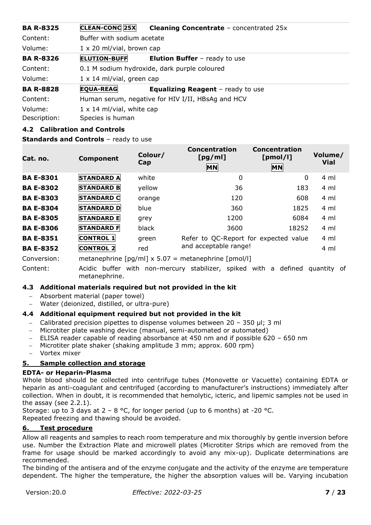| <b>BA R-8325</b> | <b>CLEAN-CONC 25X</b>                             | <b>Cleaning Concentrate - concentrated 25x</b> |  |  |  |  |  |
|------------------|---------------------------------------------------|------------------------------------------------|--|--|--|--|--|
| Content:         |                                                   | Buffer with sodium acetate                     |  |  |  |  |  |
| Volume:          | $1 \times 20$ ml/vial, brown cap                  |                                                |  |  |  |  |  |
| <b>BA R-8326</b> | <b>ELUTION-BUFF</b>                               | <b>Elution Buffer</b> - ready to use           |  |  |  |  |  |
| Content:         |                                                   | 0.1 M sodium hydroxide, dark purple coloured   |  |  |  |  |  |
| Volume:          | $1 \times 14$ ml/vial, green cap                  |                                                |  |  |  |  |  |
| <b>BA R-8828</b> | <b>EQUA-REAG</b>                                  | <b>Equalizing Reagent</b> - ready to use       |  |  |  |  |  |
| Content:         | Human serum, negative for HIV I/II, HBsAg and HCV |                                                |  |  |  |  |  |
| Volume:          | $1 \times 14$ ml/vial, white cap                  |                                                |  |  |  |  |  |
| Description:     | Species is human                                  |                                                |  |  |  |  |  |

## <span id="page-6-0"></span>**4.2 Calibration and Controls**

**Standards and Controls** - ready to use

| Cat. no.         | <b>Component</b>  | Colour/<br>Cap | Concentration<br>[pg/ml]<br><b>MN</b> | Concentration<br>[pmol/l]<br><b>MN</b> | Volume/<br><b>Vial</b> |
|------------------|-------------------|----------------|---------------------------------------|----------------------------------------|------------------------|
| <b>BA E-8301</b> | <b>STANDARD A</b> | white          | 0                                     | 0                                      | 4 ml                   |
| <b>BA E-8302</b> | <b>STANDARD B</b> | yellow         | 36                                    | 183                                    | 4 ml                   |
| <b>BA E-8303</b> | <b>STANDARD C</b> | orange         | 120                                   | 608                                    | 4 ml                   |
| <b>BA E-8304</b> | <b>STANDARD D</b> | blue           | 360                                   | 1825                                   | $4 \text{ ml}$         |
| <b>BA E-8305</b> | <b>STANDARD E</b> | grey           | 1200                                  | 6084                                   | 4 ml                   |
| <b>BA E-8306</b> | <b>STANDARD F</b> | black          | 3600                                  | 18252                                  | 4 ml                   |
| <b>BA E-8351</b> | <b>CONTROL 1</b>  | green          | Refer to QC-Report for expected value |                                        | 4 ml                   |
| <b>BA E-8352</b> | <b>CONTROL 2</b>  | red            | and acceptable range!                 |                                        | 4 ml                   |

Conversion: metanephrine  $\lceil pq/ml \rceil \times 5.07$  = metanephrine  $\lceil pmol/l \rceil$ 

Content: Acidic buffer with non-mercury stabilizer, spiked with a defined quantity of metanephrine.

## <span id="page-6-1"></span>**4.3 Additional materials required but not provided in the kit**

- − Absorbent material (paper towel)
- − Water (deionized, distilled, or ultra-pure)

## <span id="page-6-2"></span>**4.4 Additional equipment required but not provided in the kit**

- − Calibrated precision pipettes to dispense volumes between 20 350 µl; 3 ml
- − Microtiter plate washing device (manual, semi-automated or automated)
- − ELISA reader capable of reading absorbance at 450 nm and if possible 620 650 nm
- − Microtiter plate shaker (shaking amplitude 3 mm; approx. 600 rpm)
- − Vortex mixer

## <span id="page-6-3"></span>**5. Sample collection and storage**

#### **EDTA- or Heparin-Plasma**

Whole blood should be collected into centrifuge tubes (Monovette or Vacuette) containing EDTA or heparin as anti-coagulant and centrifuged (according to manufacturer's instructions) immediately after collection. When in doubt, it is recommended that hemolytic, icteric, and lipemic samples not be used in the assay (see 2.2.1).

Storage: up to 3 days at  $2 - 8$  °C, for longer period (up to 6 months) at -20 °C. Repeated freezing and thawing should be avoided.

## <span id="page-6-4"></span>**6. Test procedure**

Allow all reagents and samples to reach room temperature and mix thoroughly by gentle inversion before use. Number the Extraction Plate and microwell plates (Microtiter Strips which are removed from the frame for usage should be marked accordingly to avoid any mix-up). Duplicate determinations are recommended.

The binding of the antisera and of the enzyme conjugate and the activity of the enzyme are temperature dependent. The higher the temperature, the higher the absorption values will be. Varying incubation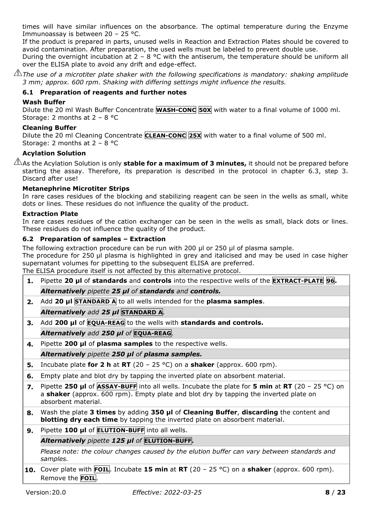times will have similar influences on the absorbance. The optimal temperature during the Enzyme Immunoassay is between 20 – 25 °C.

If the product is prepared in parts, unused wells in Reaction and Extraction Plates should be covered to avoid contamination. After preparation, the used wells must be labeled to prevent double use.

During the overnight incubation at  $2 - 8$  °C with the antiserum, the temperature should be uniform all over the ELISA plate to avoid any drift and edge-effect.

 $\mathbin{\perp\!\!\!\perp}$ The use of a microtiter plate shaker with the following specifications is mandatory: shaking amplitude *3 mm; approx. 600 rpm. Shaking with differing settings might influence the results.*

## <span id="page-7-0"></span>**6.1 Preparation of reagents and further notes**

## **Wash Buffer**

Dilute the 20 ml Wash Buffer Concentrate **WASH-CONC 50X** with water to a final volume of 1000 ml. Storage: 2 months at 2 – 8 °C

## **Cleaning Buffer**

Dilute the 20 ml Cleaning Concentrate **CLEAN-CONC 25X** with water to a final volume of 500 ml. Storage: 2 months at 2 – 8 °C

## **Acylation Solution**

As the Acylation Solution is only **stable for a maximum of 3 minutes,** it should not be prepared before starting the assay. Therefore, its preparation is described in the protocol in chapter 6.3, step 3. Discard after use!

## **Metanephrine Microtiter Strips**

In rare cases residues of the blocking and stabilizing reagent can be seen in the wells as small, white dots or lines. These residues do not influence the quality of the product.

## **Extraction Plate**

In rare cases residues of the cation exchanger can be seen in the wells as small, black dots or lines. These residues do not influence the quality of the product.

#### <span id="page-7-1"></span>**6.2 Preparation of samples – Extraction**

The following extraction procedure can be run with 200 µl or 250 µl of plasma sample.

The procedure for 250 µl plasma is highlighted in grey and italicised and may be used in case higher supernatant volumes for pipetting to the subsequent ELISA are preferred.

The ELISA procedure itself is not affected by this alternative protocol.

- **1.** Pipette **20 µl** of **standards** and **controls** into the respective wells of the **EXTRACT-PLATE 96.** *Alternatively pipette 25 µl of standards and controls.*
- **2.** Add **20 µl STANDARD A** to all wells intended for the **plasma samples**.

## *Alternatively add 25 µl* **STANDARD A***.*

**3.** Add **200 μl** of **EQUA-REAG** to the wells with **standards and controls.**

## *Alternatively add 250 µl of* **EQUA-REAG**.

**4.** Pipette **200 μl** of **plasma samples** to the respective wells.

## *Alternatively pipette 250 µl of plasma samples.*

- **5.** Incubate plate **for 2 h** at **RT** (20 25 °C) on a **shaker** (approx. 600 rpm).
- **6.** Empty plate and blot dry by tapping the inverted plate on absorbent material.
- **7.** Pipette **250 µl** of **ASSAY-BUFF** into all wells. Incubate the plate for **5 min** at **RT** (20 25 °C) on a **shaker** (approx. 600 rpm). Empty plate and blot dry by tapping the inverted plate on absorbent material.
- **8.** Wash the plate **3 times** by adding **350 µl** of **Cleaning Buffer**, **discarding** the content and **blotting dry each time** by tapping the inverted plate on absorbent material.

## **9.** Pipette **100 µl** of **ELUTION-BUFF** into all wells.

## *Alternatively pipette 125 µl of* **ELUTION-BUFF.**

*Please note: the colour changes caused by the elution buffer can vary between standards and samples.*

**10.** Cover plate with **FOIL**. Incubate **15 min** at **RT** (20 – 25 °C) on a **shaker** (approx. 600 rpm). Remove the **FOIL**.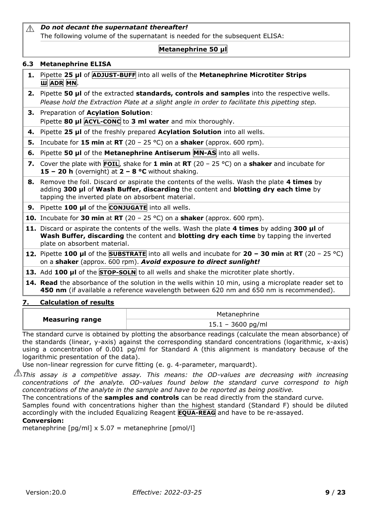#### *Do not decant the supernatant thereafter!*  $\triangle$ The following volume of the supernatant is needed for the subsequent ELISA:

## **Metanephrine 50 µl**

## <span id="page-8-0"></span>**6.3 Metanephrine ELISA**

- **1.** Pipette **25 µl** of **ADJUST-BUFF** into all wells of the **Metanephrine Microtiter Strips Ш ADR MN**.
- **2.** Pipette **50 µl** of the extracted **standards, controls and samples** into the respective wells. *Please hold the Extraction Plate at a slight angle in order to facilitate this pipetting step.*
- **3.** Preparation of **Acylation Solution**: Pipette **80 µl ACYL-CONC** to **3 ml water** and mix thoroughly.
- **4.** Pipette **25 µl** of the freshly prepared **Acylation Solution** into all wells.
- **5.** Incubate for **15 min** at **RT** (20 25 °C) on a **shaker** (approx. 600 rpm).
- **6.** Pipette **50 µl** of the **Metanephrine Antiserum MN-AS** into all wells.
- **7.** Cover the plate with **FOIL**, shake for **1 min** at **RT** (20 25 °C) on a **shaker** and incubate for **15 – 20 h** (overnight) at **2 – 8 °C** without shaking.
- **8.** Remove the foil. Discard or aspirate the contents of the wells. Wash the plate **4 times** by adding **300 µl** of **Wash Buffer, discarding** the content and **blotting dry each time** by tapping the inverted plate on absorbent material.

**9.** Pipette **100 µl** of the **CONJUGATE** into all wells.

**10.** Incubate for **30 min** at **RT** (20 – 25 °C) on a **shaker** (approx. 600 rpm).

- **11.** Discard or aspirate the contents of the wells. Wash the plate **4 times** by adding **300 µl** of **Wash Buffer, discarding** the content and **blotting dry each time** by tapping the inverted plate on absorbent material.
- **12.** Pipette **100 µl** of the **SUBSTRATE** into all wells and incubate for **20 – 30 min** at **RT** (20 25 °C) on a **shaker** (approx. 600 rpm). *Avoid exposure to direct sunlight!*
- **13.** Add **100 µl** of the **STOP-SOLN** to all wells and shake the microtiter plate shortly.
- **14. Read** the absorbance of the solution in the wells within 10 min, using a microplate reader set to **450 nm** (if available a reference wavelength between 620 nm and 650 nm is recommended).

## <span id="page-8-1"></span>**7. Calculation of results**

|                        | Metanephrine        |
|------------------------|---------------------|
| <b>Measuring range</b> | $15.1 - 3600$ pg/ml |

The standard curve is obtained by plotting the absorbance readings (calculate the mean absorbance) of the standards (linear, y-axis) against the corresponding standard concentrations (logarithmic, x-axis) using a concentration of 0.001 pg/ml for Standard A (this alignment is mandatory because of the logarithmic presentation of the data).

Use non-linear regression for curve fitting (e. g. 4-parameter, marquardt).

*This assay is a competitive assay. This means: the OD-values are decreasing with increasing concentrations of the analyte. OD-values found below the standard curve correspond to high concentrations of the analyte in the sample and have to be reported as being positive.*

The concentrations of the **samples and controls** can be read directly from the standard curve.

Samples found with concentrations higher than the highest standard (Standard F) should be diluted accordingly with the included Equalizing Reagent **EQUA-REAG** and have to be re-assayed.

## **Conversion:**

<span id="page-8-2"></span>metanephrine  $\lceil$ pg/ml] x 5.07 = metanephrine  $\lceil$ pmol/l]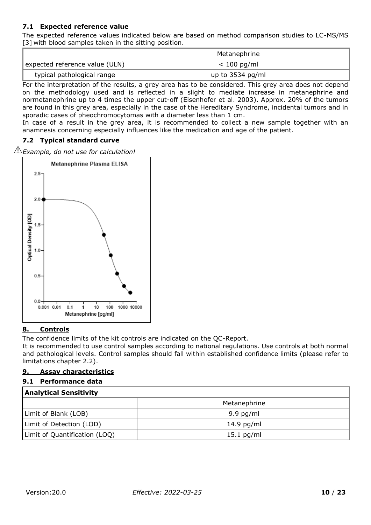## **7.1 Expected reference value**

The expected reference values indicated below are based on method comparison studies to LC-MS/MS [3] with blood samples taken in the sitting position.

|                                | Metanephrine       |
|--------------------------------|--------------------|
| expected reference value (ULN) | $< 100$ pg/ml      |
| typical pathological range     | up to $3534$ pg/ml |

For the interpretation of the results, a grey area has to be considered. This grey area does not depend on the methodology used and is reflected in a slight to mediate increase in metanephrine and normetanephrine up to 4 times the upper cut-off (Eisenhofer et al. 2003). Approx. 20% of the tumors are found in this grey area, especially in the case of the Hereditary Syndrome, incidental tumors and in sporadic cases of pheochromocytomas with a diameter less than 1 cm.

In case of a result in the grey area, it is recommended to collect a new sample together with an anamnesis concerning especially influences like the medication and age of the patient.

#### <span id="page-9-0"></span>**7.2 Typical standard curve**

*Example, do not use for calculation!* 



#### <span id="page-9-1"></span>**8. Controls**

The confidence limits of the kit controls are indicated on the QC-Report.

It is recommended to use control samples according to national regulations. Use controls at both normal and pathological levels. Control samples should fall within established confidence limits (please refer to limitations chapter 2.2).

#### <span id="page-9-2"></span>**9. Assay characteristics**

#### <span id="page-9-3"></span>**9.1 Performance data**

| <b>Analytical Sensitivity</b> |              |  |  |  |
|-------------------------------|--------------|--|--|--|
|                               | Metanephrine |  |  |  |
| Limit of Blank (LOB)          | $9.9$ pg/ml  |  |  |  |
| Limit of Detection (LOD)      | $14.9$ pg/ml |  |  |  |
| Limit of Quantification (LOQ) | $15.1$ pg/ml |  |  |  |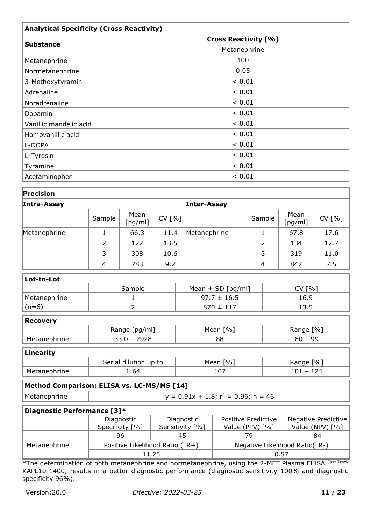| <b>Analytical Specificity (Cross Reactivity)</b> |                             |  |  |  |  |
|--------------------------------------------------|-----------------------------|--|--|--|--|
|                                                  | <b>Cross Reactivity [%]</b> |  |  |  |  |
| <b>Substance</b>                                 | Metanephrine                |  |  |  |  |
| Metanephrine                                     | 100                         |  |  |  |  |
| Normetanephrine                                  | 0.05                        |  |  |  |  |
| 3-Methoxytyramin                                 | ${}< 0.01$                  |  |  |  |  |
| Adrenaline                                       | < 0.01                      |  |  |  |  |
| Noradrenaline                                    | < 0.01                      |  |  |  |  |
| Dopamin                                          | < 0.01                      |  |  |  |  |
| Vanillic mandelic acid                           | ${}< 0.01$                  |  |  |  |  |
| Homovanillic acid                                | < 0.01                      |  |  |  |  |
| L-DOPA                                           | ${}< 0.01$                  |  |  |  |  |
| L-Tyrosin                                        | < 0.01                      |  |  |  |  |
| Tyramine                                         | ${}< 0.01$                  |  |  |  |  |
| Acetaminophen                                    | < 0.01                      |  |  |  |  |

| Precision                                  |                                           |                                 |        |                                   |                                |                |                            |                 |  |
|--------------------------------------------|-------------------------------------------|---------------------------------|--------|-----------------------------------|--------------------------------|----------------|----------------------------|-----------------|--|
| Intra-Assay                                |                                           |                                 |        |                                   | <b>Inter-Assay</b>             |                |                            |                 |  |
|                                            | Sample                                    | Mean<br>[pg/ml]                 | CV [%] |                                   |                                | Sample         | Mean<br>[pg/ml]            | CV [%]          |  |
| Metanephrine                               | 1                                         | 66.3                            | 11.4   |                                   | Metanephrine                   | $\mathbf 1$    | 67.8                       | 17.6            |  |
|                                            | $\overline{2}$                            | 122                             | 13.5   |                                   |                                | $\overline{2}$ | 134                        | 12.7            |  |
|                                            | 3                                         | 308                             | 10.6   |                                   |                                | 3              | 319                        | 11.0            |  |
|                                            | $\overline{4}$                            | 783                             | 9.2    |                                   |                                | 4              | 847                        | 7.5             |  |
| Lot-to-Lot                                 |                                           |                                 |        |                                   |                                |                |                            |                 |  |
|                                            |                                           | Sample                          |        |                                   | Mean $\pm$ SD [pg/ml]          |                | CV [%]                     |                 |  |
| Metanephrine                               |                                           | 1                               |        |                                   | $97.7 \pm 16.5$                |                | 16.9                       |                 |  |
| $(n=6)$                                    |                                           | 2                               |        |                                   | $870 \pm 117$                  |                |                            | 13.5            |  |
| <b>Recovery</b>                            |                                           |                                 |        |                                   |                                |                |                            |                 |  |
|                                            | Range [pg/ml]                             |                                 |        |                                   | Mean [%]                       |                | Range [%]                  |                 |  |
| Metanephrine                               | $33.0 - 2928$                             |                                 |        | 88                                |                                |                | $80 - 99$                  |                 |  |
| <b>Linearity</b>                           |                                           |                                 |        |                                   |                                |                |                            |                 |  |
|                                            | Serial dilution up to                     |                                 |        |                                   | Mean [%]                       |                | Range [%]                  |                 |  |
| Metanephrine                               |                                           | 1:64                            |        |                                   | 107                            |                | $101 - 124$                |                 |  |
| Method Comparison: ELISA vs. LC-MS/MS [14] |                                           |                                 |        |                                   |                                |                |                            |                 |  |
| Metanephrine                               | $y = 0.91x + 1.8$ ; $r^2 = 0.96$ ; n = 46 |                                 |        |                                   |                                |                |                            |                 |  |
| Diagnostic Performance [3]*                |                                           |                                 |        |                                   |                                |                |                            |                 |  |
|                                            |                                           | Diagnostic                      |        | Diagnostic<br>Positive Predictive |                                |                | <b>Negative Predictive</b> |                 |  |
|                                            |                                           | Specificity [%]                 |        | Sensitivity [%]                   | Value (PPV) [%]                |                |                            | Value (NPV) [%] |  |
|                                            |                                           | 96                              |        | 45                                |                                | 79             |                            | 84              |  |
| Metanephrine                               |                                           | Positive Likelihood Ratio (LR+) |        |                                   | Negative Likelihood Ratio(LR-) |                |                            |                 |  |
|                                            | 11.25<br>0.57                             |                                 |        |                                   |                                |                |                            |                 |  |

\*The determination of both metanephrine and normetanephrine, using the 2-MET Plasma ELISA Fast Track KAPL10-1400, results in a better diagnostic performance (diagnostic sensitivity 100% and diagnostic specificity 96%).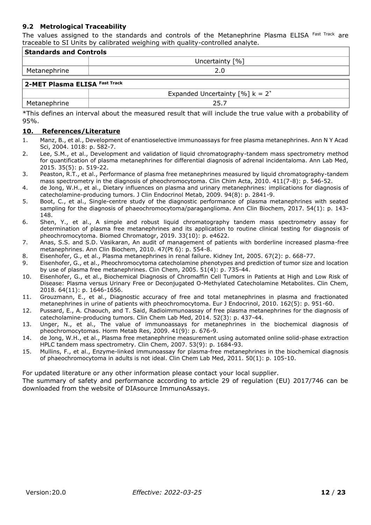#### <span id="page-11-0"></span>**9.2 Metrological Traceability**

The values assigned to the standards and controls of the Metanephrine Plasma ELISA Fast Track are traceable to SI Units by calibrated weighing with quality-controlled analyte.

| <b>Standards and Controls</b> |                                                            |  |  |  |  |
|-------------------------------|------------------------------------------------------------|--|--|--|--|
|                               | Uncertainty [%]                                            |  |  |  |  |
| Metanephrine                  | 2.0                                                        |  |  |  |  |
| 2-MET Plasma ELISA Fast Track |                                                            |  |  |  |  |
|                               | Expanded Uncertainty $\lceil \% \rceil$ k = 2 <sup>*</sup> |  |  |  |  |
| Metanephrine                  | 25.7                                                       |  |  |  |  |

\*This defines an interval about the measured result that will include the true value with a probability of 95%.

#### <span id="page-11-1"></span>**10. References/Literature**

- 1. Manz, B., et al., Development of enantioselective immunoassays for free plasma metanephrines. Ann N Y Acad Sci, 2004. 1018: p. 582-7.
- 2. Lee, S.M., et al., Development and validation of liquid chromatography-tandem mass spectrometry method for quantification of plasma metanephrines for differential diagnosis of adrenal incidentaloma. Ann Lab Med, 2015. 35(5): p. 519-22.
- 3. Peaston, R.T., et al., Performance of plasma free metanephrines measured by liquid chromatography-tandem mass spectrometry in the diagnosis of pheochromocytoma. Clin Chim Acta, 2010. 411(7-8): p. 546-52.
- 4. de Jong, W.H., et al., Dietary influences on plasma and urinary metanephrines: implications for diagnosis of catecholamine-producing tumors. J Clin Endocrinol Metab, 2009. 94(8): p. 2841-9.
- 5. Boot, C., et al., Single-centre study of the diagnostic performance of plasma metanephrines with seated sampling for the diagnosis of phaeochromocytoma/paraganglioma. Ann Clin Biochem, 2017. 54(1): p. 143- 148.
- 6. Shen, Y., et al., A simple and robust liquid chromatography tandem mass spectrometry assay for determination of plasma free metanephrines and its application to routine clinical testing for diagnosis of pheochromocytoma. Biomed Chromatogr, 2019. 33(10): p. e4622.
- 7. Anas, S.S. and S.D. Vasikaran, An audit of management of patients with borderline increased plasma-free metanephrines. Ann Clin Biochem, 2010. 47(Pt 6): p. 554-8.
- 8. Eisenhofer, G., et al., Plasma metanephrines in renal failure. Kidney Int, 2005. 67(2): p. 668-77.
- 9. Eisenhofer, G., et al., Pheochromocytoma catecholamine phenotypes and prediction of tumor size and location by use of plasma free metanephrines. Clin Chem, 2005. 51(4): p. 735-44.
- 10. Eisenhofer, G., et al., Biochemical Diagnosis of Chromaffin Cell Tumors in Patients at High and Low Risk of Disease: Plasma versus Urinary Free or Deconjugated O-Methylated Catecholamine Metabolites. Clin Chem, 2018. 64(11): p. 1646-1656.
- 11. Grouzmann, E., et al., Diagnostic accuracy of free and total metanephrines in plasma and fractionated metanephrines in urine of patients with pheochromocytoma. Eur J Endocrinol, 2010. 162(5): p. 951-60.
- 12. Pussard, E., A. Chaouch, and T. Said, Radioimmunoassay of free plasma metanephrines for the diagnosis of catecholamine-producing tumors. Clin Chem Lab Med, 2014. 52(3): p. 437-44.
- 13. Unger, N., et al., The value of immunoassays for metanephrines in the biochemical diagnosis of pheochromocytomas. Horm Metab Res, 2009. 41(9): p. 676-9.
- 14. de Jong, W.H., et al., Plasma free metanephrine measurement using automated online solid-phase extraction HPLC tandem mass spectrometry. Clin Chem, 2007. 53(9): p. 1684-93.
- 15. Mullins, F., et al., Enzyme-linked immunoassay for plasma-free metanephrines in the biochemical diagnosis of phaeochromocytoma in adults is not ideal. Clin Chem Lab Med, 2011. 50(1): p. 105-10.

<span id="page-11-2"></span>For updated literature or any other information please contact your local supplier.

The summary of safety and performance according to article 29 of regulation (EU) 2017/746 can be downloaded from the website [of](http://www.ldn.de/) DIAsource ImmunoAssays.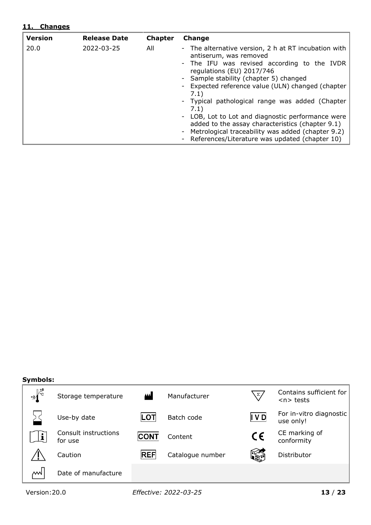## **11. Changes**

| <b>Version</b> | <b>Release Date</b> | <b>Chapter</b> | <b>Change</b>                                                                                                                                                                                                                                                                                                                                                                                                                                                                                                                                    |
|----------------|---------------------|----------------|--------------------------------------------------------------------------------------------------------------------------------------------------------------------------------------------------------------------------------------------------------------------------------------------------------------------------------------------------------------------------------------------------------------------------------------------------------------------------------------------------------------------------------------------------|
| 20.0           | 2022-03-25          | All            | - The alternative version, 2 h at RT incubation with<br>antiserum, was removed<br>- The IFU was revised according to the IVDR<br>regulations (EU) 2017/746<br>- Sample stability (chapter 5) changed<br>- Expected reference value (ULN) changed (chapter<br>7.1)<br>- Typical pathological range was added (Chapter<br>7.1)<br>- LOB, Lot to Lot and diagnostic performance were<br>added to the assay characteristics (chapter 9.1)<br>- Metrological traceability was added (chapter 9.2)<br>- References/Literature was updated (chapter 10) |

#### **Symbols:**

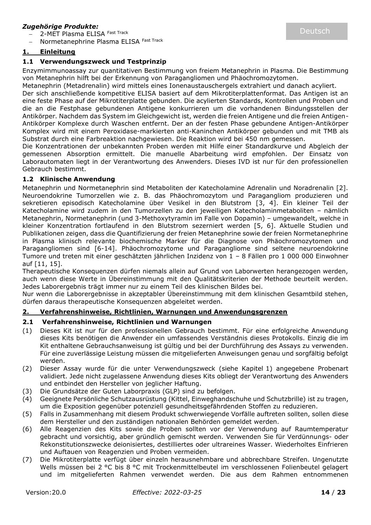## *Zugehörige Produkte:*

2-MET Plasma ELISA Fast Track

Normetanephrine Plasma ELISA Fast Track

## <span id="page-13-0"></span>**1. Einleitung**

#### <span id="page-13-1"></span>**1.1 Verwendungszweck und Testprinzip**

Enzymimmunoassay zur quantitativen Bestimmung von freiem Metanephrin in Plasma. Die Bestimmung von Metanephrin hilft bei der Erkennung von Paragangliomen und Phäochromozytomen.

Metanephrin (Metadrenalin) wird mittels eines Ionenaustauschergels extrahiert und danach acyliert.

Der sich anschließende kompetitive ELISA basiert auf dem Mikrotiterplattenformat. Das Antigen ist an eine feste Phase auf der Mikrotiterplatte gebunden. Die acylierten Standards, Kontrollen und Proben und die an die Festphase gebundenen Antigene konkurrieren um die vorhandenen Bindungsstellen der Antikörper. Nachdem das System im Gleichgewicht ist, werden die freien Antigene und die freien Antigen-Antikörper Komplexe durch Waschen entfernt. Der an der festen Phase gebundene Antigen-Antikörper Komplex wird mit einem Peroxidase-markierten anti-Kaninchen Antikörper gebunden und mit TMB als Substrat durch eine Farbreaktion nachgewiesen. Die Reaktion wird bei 450 nm gemessen.

Die Konzentrationen der unbekannten Proben werden mit Hilfe einer Standardkurve und Abgleich der gemessenen Absorption ermittelt. Die manuelle Abarbeitung wird empfohlen. Der Einsatz von Laborautomaten liegt in der Verantwortung des Anwenders. Dieses IVD ist nur für den professionellen Gebrauch bestimmt.

#### <span id="page-13-2"></span>**1.2 Klinische Anwendung**

Metanephrin und Normetanephrin sind Metaboliten der Katecholamine Adrenalin und Noradrenalin [2]. Neuroendokrine Tumorzellen wie z. B. das Phäochromozytom und Paragangliom produzieren und sekretieren episodisch Katecholamine über Vesikel in den Blutstrom [3, 4]. Ein kleiner Teil der Katecholamine wird zudem in den Tumorzellen zu den jeweiligen Katecholaminmetaboliten – nämlich Metanephrin, Normetanephrin (und 3-Methoxytyramin im Falle von Dopamin) – umgewandelt, welche in kleiner Konzentration fortlaufend in den Blutstrom sezerniert werden [5, 6]. Aktuelle Studien und Publikationen zeigen, dass die Quantifizierung der freien Metanephrine sowie der freien Normetanephrine in Plasma klinisch relevante biochemische Marker für die Diagnose von Phäochromozytomen und Paragangliomen sind [6-14]. Phäochromozytome und Paragangliome sind seltene neuroendokrine Tumore und treten mit einer geschätzten jährlichen Inzidenz von 1 – 8 Fällen pro 1 000 000 Einwohner auf [11, 15].

Therapeutische Konsequenzen dürfen niemals allein auf Grund von Laborwerten herangezogen werden, auch wenn diese Werte in Übereinstimmung mit den Qualitätskriterien der Methode beurteilt werden. Jedes Laborergebnis trägt immer nur zu einem Teil des klinischen Bildes bei.

Nur wenn die Laborergebnisse in akzeptabler Übereinstimmung mit dem klinischen Gesamtbild stehen, dürfen daraus therapeutische Konsequenzen abgeleitet werden.

## <span id="page-13-3"></span>**2. Verfahrenshinweise, Richtlinien, Warnungen und Anwendungsgrenzen**

#### <span id="page-13-4"></span>**2.1 Verfahrenshinweise, Richtlinien und Warnungen**

- (1) Dieses Kit ist nur für den professionellen Gebrauch bestimmt. Für eine erfolgreiche Anwendung dieses Kits benötigen die Anwender ein umfassendes Verständnis dieses Protokolls. Einzig die im Kit enthaltene Gebrauchsanweisung ist gültig und bei der Durchführung des Assays zu verwenden. Für eine zuverlässige Leistung müssen die mitgelieferten Anweisungen genau und sorgfältig befolgt werden.
- (2) Dieser Assay wurde für die unter Verwendungszweck (siehe Kapitel 1) angegebene Probenart validiert. Jede nicht zugelassene Anwendung dieses Kits obliegt der Verantwortung des Anwenders und entbindet den Hersteller von jeglicher Haftung.
- (3) Die Grundsätze der Guten Laborpraxis (GLP) sind zu befolgen.
- (4) Geeignete Persönliche Schutzausrüstung (Kittel, Einweghandschuhe und Schutzbrille) ist zu tragen, um die Exposition gegenüber potenziell gesundheitsgefährdenden Stoffen zu reduzieren.
- (5) Falls in Zusammenhang mit diesem Produkt schwerwiegende Vorfälle auftreten sollten, sollen diese dem Hersteller und den zuständigen nationalen Behörden gemeldet werden.
- (6) Alle Reagenzien des Kits sowie die Proben sollten vor der Verwendung auf Raumtemperatur gebracht und vorsichtig, aber gründlich gemischt werden. Verwenden Sie für Verdünnungs- oder Rekonstitutionszwecke deionisiertes, destilliertes oder ultrareines Wasser. Wiederholtes Einfrieren und Auftauen von Reagenzien und Proben vermeiden.
- (7) Die Mikrotiterplatte verfügt über einzeln herausnehmbare und abbrechbare Streifen. Ungenutzte Wells müssen bei 2 °C bis 8 °C mit Trockenmittelbeutel im verschlossenen Folienbeutel gelagert und im mitgelieferten Rahmen verwendet werden. Die aus dem Rahmen entnommenen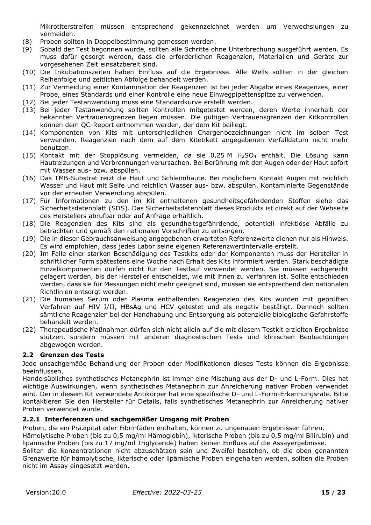Mikrotiterstreifen müssen entsprechend gekennzeichnet werden um Verwechslungen zu vermeiden.

- (8) Proben sollten in Doppelbestimmung gemessen werden.
- (9) Sobald der Test begonnen wurde, sollten alle Schritte ohne Unterbrechung ausgeführt werden. Es muss dafür gesorgt werden, dass die erforderlichen Reagenzien, Materialien und Geräte zur vorgesehenen Zeit einsatzbereit sind.
- (10) Die Inkubationszeiten haben Einfluss auf die Ergebnisse. Alle Wells sollten in der gleichen Reihenfolge und zeitlichen Abfolge behandelt werden.
- (11) Zur Vermeidung einer Kontamination der Reagenzien ist bei jeder Abgabe eines Reagenzes, einer Probe, eines Standards und einer Kontrolle eine neue Einwegpipettenspitze zu verwenden.
- (12) Bei jeder Testanwendung muss eine Standardkurve erstellt werden.
- (13) Bei jeder Testanwendung sollten Kontrollen mitgetestet werden, deren Werte innerhalb der bekannten Vertrauensgrenzen liegen müssen. Die gültigen Vertrauensgrenzen der Kitkontrollen können dem QC-Report entnommen werden, der dem Kit beiliegt.
- (14) Komponenten von Kits mit unterschiedlichen Chargenbezeichnungen nicht im selben Test verwenden. Reagenzien nach dem auf dem Kitetikett angegebenen Verfalldatum nicht mehr benutzen.
- (15) Kontakt mit der Stopplösung vermeiden, da sie 0,25 M H2SO<sup>4</sup> enthält. Die Lösung kann Hautreizungen und Verbrennungen verursachen. Bei Berührung mit den Augen oder der Haut sofort mit Wasser aus- bzw. abspülen.
- (16) Das TMB-Substrat reizt die Haut und Schleimhäute. Bei möglichem Kontakt Augen mit reichlich Wasser und Haut mit Seife und reichlich Wasser aus- bzw. abspülen. Kontaminierte Gegenstände vor der erneuten Verwendung abspülen.
- (17) Für Informationen zu den im Kit enthaltenen gesundheitsgefährdenden Stoffen siehe das Sicherheitsdatenblatt (SDS). Das Sicherheitsdatenblatt dieses Produkts ist direkt auf der Webseite des Herstellers abrufbar oder auf Anfrage erhältlich.
- (18) Die Reagenzien des Kits sind als gesundheitsgefährdende, potentiell infektiöse Abfälle zu betrachten und gemäß den nationalen Vorschriften zu entsorgen.
- (19) Die in dieser Gebrauchsanweisung angegebenen erwarteten Referenzwerte dienen nur als Hinweis. Es wird empfohlen, dass jedes Labor seine eigenen Referenzwertintervalle erstellt.
- (20) Im Falle einer starken Beschädigung des Testkits oder der Komponenten muss der Hersteller in schriftlicher Form spätestens eine Woche nach Erhalt des Kits informiert werden. Stark beschädigte Einzelkomponenten dürfen nicht für den Testlauf verwendet werden. Sie müssen sachgerecht gelagert werden, bis der Hersteller entscheidet, wie mit ihnen zu verfahren ist. Sollte entschieden werden, dass sie für Messungen nicht mehr geeignet sind, müssen sie entsprechend den nationalen Richtlinien entsorgt werden.
- (21) Die humanes Serum oder Plasma enthaltenden Reagenzien des Kits wurden mit geprüften Verfahren auf HIV I/II, HBsAg und HCV getestet und als negativ bestätigt. Dennoch sollten sämtliche Reagenzien bei der Handhabung und Entsorgung als potenzielle biologische Gefahrstoffe behandelt werden.
- (22) Therapeutische Maßnahmen dürfen sich nicht allein auf die mit diesem Testkit erzielten Ergebnisse stützen, sondern müssen mit anderen diagnostischen Tests und klinischen Beobachtungen abgewogen werden.

## <span id="page-14-0"></span>**2.2 Grenzen des Tests**

Jede unsachgemäße Behandlung der Proben oder Modifikationen dieses Tests können die Ergebnisse beeinflussen.

Handelsübliches synthetisches Metanephrin ist immer eine Mischung aus der D- und L-Form. Dies hat wichtige Auswirkungen, wenn synthetisches Metanephrin zur Anreicherung nativer Proben verwendet wird. Der in diesem Kit verwendete Antikörper hat eine spezifische D- und L-Form-Erkennungsrate. Bitte kontaktieren Sie den Hersteller für Details, falls synthetisches Metanephrin zur Anreicherung nativer Proben verwendet wurde.

## <span id="page-14-1"></span>**2.2.1 Interferenzen und sachgemäßer Umgang mit Proben**

Proben, die ein Präzipitat oder Fibrinfäden enthalten, können zu ungenauen Ergebnissen führen.

Hämolytische Proben (bis zu 0,5 mg/ml Hämoglobin), ikterische Proben (bis zu 0,5 mg/ml Bilirubin) und lipämische Proben (bis zu 17 mg/ml Triglyceride) haben keinen Einfluss auf die Assayergebnisse.

<span id="page-14-2"></span>Sollten die Konzentrationen nicht abzuschätzen sein und Zweifel bestehen, ob die oben genannten Grenzwerte für hämolytische, ikterische oder lipämische Proben eingehalten werden, sollten die Proben nicht im Assay eingesetzt werden.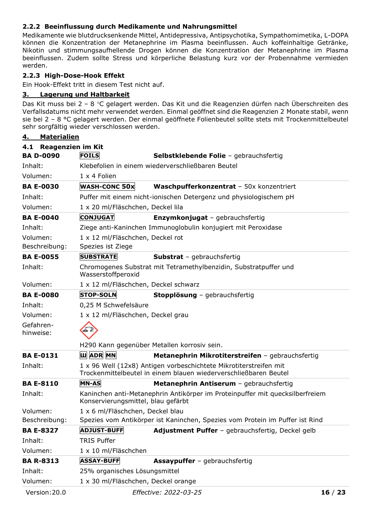## **2.2.2 Beeinflussung durch Medikamente und Nahrungsmittel**

Medikamente wie blutdrucksenkende Mittel, Antidepressiva, Antipsychotika, Sympathomimetika, L-DOPA können die Konzentration der Metanephrine im Plasma beeinflussen. Auch koffeinhaltige Getränke, Nikotin und stimmungsaufhellende Drogen können die Konzentration der Metanephrine im Plasma beeinflussen. Zudem sollte Stress und körperliche Belastung kurz vor der Probennahme vermieden werden.

## <span id="page-15-0"></span>**2.2.3 High-Dose-Hook Effekt**

Ein Hook-Effekt tritt in diesem Test nicht auf.

## <span id="page-15-1"></span>**3. Lagerung und Haltbarkeit**

Das Kit muss bei 2 – 8 °C gelagert werden. Das Kit und die Reagenzien dürfen nach Überschreiten des Verfallsdatums nicht mehr verwendet werden. Einmal geöffnet sind die Reagenzien 2 Monate stabil, wenn sie bei 2 – 8 °C gelagert werden. Der einmal geöffnete Folienbeutel sollte stets mit Trockenmittelbeutel sehr sorgfältig wieder verschlossen werden.

<span id="page-15-3"></span><span id="page-15-2"></span>

| <b>Materialien</b><br>4.        |                                      |                                                                                                                                       |       |
|---------------------------------|--------------------------------------|---------------------------------------------------------------------------------------------------------------------------------------|-------|
| <b>Reagenzien im Kit</b><br>4.1 |                                      |                                                                                                                                       |       |
| <b>BA D-0090</b>                | <b>FOILS</b>                         | Selbstklebende Folie - gebrauchsfertig                                                                                                |       |
| Inhalt:                         |                                      | Klebefolien in einem wiederverschließbaren Beutel                                                                                     |       |
| Volumen:                        | 1 x 4 Folien                         |                                                                                                                                       |       |
| <b>BA E-0030</b>                | <b>WASH-CONC 50x</b>                 | Waschpufferkonzentrat - 50x konzentriert                                                                                              |       |
| Inhalt:                         |                                      | Puffer mit einem nicht-ionischen Detergenz und physiologischem pH                                                                     |       |
| Volumen:                        | 1 x 20 ml/Fläschchen, Deckel lila    |                                                                                                                                       |       |
| <b>BA E-0040</b>                | <b>CONJUGAT</b>                      | <b>Enzymkonjugat</b> - gebrauchsfertig                                                                                                |       |
| Inhalt:                         |                                      | Ziege anti-Kaninchen Immunoglobulin konjugiert mit Peroxidase                                                                         |       |
| Volumen:                        | 1 x 12 ml/Fläschchen, Deckel rot     |                                                                                                                                       |       |
| Beschreibung:                   | Spezies ist Ziege                    |                                                                                                                                       |       |
| <b>BA E-0055</b>                | <b>SUBSTRATE</b>                     | <b>Substrat</b> - gebrauchsfertig                                                                                                     |       |
| Inhalt:                         | Wasserstoffperoxid                   | Chromogenes Substrat mit Tetramethylbenzidin, Substratpuffer und                                                                      |       |
| Volumen:                        | 1 x 12 ml/Fläschchen, Deckel schwarz |                                                                                                                                       |       |
| <b>BA E-0080</b>                | <b>STOP-SOLN</b>                     | Stopplösung - gebrauchsfertig                                                                                                         |       |
| Inhalt:                         | 0,25 M Schwefelsäure                 |                                                                                                                                       |       |
| Volumen:                        | 1 x 12 ml/Fläschchen, Deckel grau    |                                                                                                                                       |       |
| Gefahren-<br>hinweise:          |                                      |                                                                                                                                       |       |
|                                 |                                      | H290 Kann gegenüber Metallen korrosiv sein.                                                                                           |       |
| <b>BA E-0131</b>                | <b>Ш</b> ADR MN                      | Metanephrin Mikrotiterstreifen - gebrauchsfertig                                                                                      |       |
| Inhalt:                         |                                      | 1 x 96 Well (12x8) Antigen vorbeschichtete Mikrotiterstreifen mit<br>Trockenmittelbeutel in einem blauen wiederverschließbaren Beutel |       |
| <b>BA E-8110</b>                | <b>MN-AS</b>                         | Metanephrin Antiserum - gebrauchsfertig                                                                                               |       |
| Inhalt:                         | Konservierungsmittel, blau gefärbt   | Kaninchen anti-Metanephrin Antikörper im Proteinpuffer mit quecksilberfreiem                                                          |       |
| Volumen:                        | 1 x 6 ml/Fläschchen, Deckel blau     |                                                                                                                                       |       |
| Beschreibung:                   |                                      | Spezies vom Antikörper ist Kaninchen, Spezies vom Protein im Puffer ist Rind                                                          |       |
| <b>BA E-8327</b>                | <b>ADJUST-BUFF</b>                   | Adjustment Puffer - gebrauchsfertig, Deckel gelb                                                                                      |       |
| Inhalt:                         | <b>TRIS Puffer</b>                   |                                                                                                                                       |       |
| Volumen:                        | 1 x 10 ml/Fläschchen                 |                                                                                                                                       |       |
| <b>BA R-8313</b>                | <b>ASSAY-BUFF</b>                    | <b>Assaypuffer</b> - gebrauchsfertig                                                                                                  |       |
| Inhalt:                         | 25% organisches Lösungsmittel        |                                                                                                                                       |       |
| Volumen:                        | 1 x 30 ml/Fläschchen, Deckel orange  |                                                                                                                                       |       |
| Version: 20.0                   |                                      | Effective: 2022-03-25                                                                                                                 | 16/23 |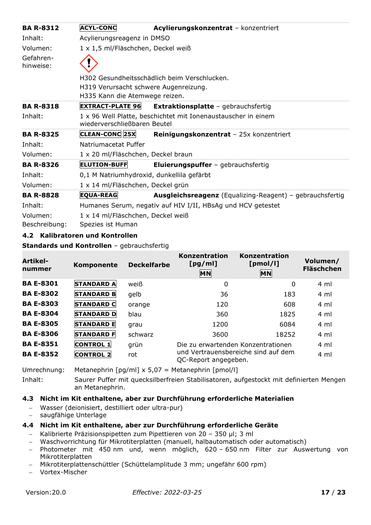| <b>BA R-8312</b>       | <b>ACYL-CONC</b>                          | Acylierungskonzentrat - konzentriert                          |  |  |
|------------------------|-------------------------------------------|---------------------------------------------------------------|--|--|
| Inhalt:                | Acylierungsreagenz in DMSO                |                                                               |  |  |
| Volumen:               | 1 x 1,5 ml/Fläschchen, Deckel weiß        |                                                               |  |  |
| Gefahren-<br>hinweise: |                                           |                                                               |  |  |
|                        |                                           | H302 Gesundheitsschädlich beim Verschlucken.                  |  |  |
|                        | H319 Verursacht schwere Augenreizung.     |                                                               |  |  |
|                        | H335 Kann die Atemwege reizen.            |                                                               |  |  |
| <b>BA R-8318</b>       | <b>EXTRACT-PLATE 96</b>                   | <b>Extraktionsplatte - gebrauchsfertig</b>                    |  |  |
| Inhalt:                | wiederverschließbaren Beutel              | 1 x 96 Well Platte, beschichtet mit Ionenaustauscher in einem |  |  |
| <b>BA R-8325</b>       | <b>CLEAN-CONC 25X</b>                     | Reinigungskonzentrat - 25x konzentriert                       |  |  |
| Inhalt:                | Natriumacetat Puffer                      |                                                               |  |  |
| Volumen:               | 1 x 20 ml/Fläschchen, Deckel braun        |                                                               |  |  |
| <b>BA R-8326</b>       | <b>ELUTION-BUFF</b>                       | Eluierungspuffer - gebrauchsfertig                            |  |  |
| Inhalt:                | 0,1 M Natriumhydroxid, dunkellila gefärbt |                                                               |  |  |
| Volumen:               | 1 x 14 ml/Fläschchen, Deckel grün         |                                                               |  |  |
| <b>BA R-8828</b>       | <b>EQUA-REAG</b>                          | Ausgleichsreagenz (Equalizing-Reagent) - gebrauchsfertig      |  |  |
| Inhalt:                |                                           | Humanes Serum, negativ auf HIV I/II, HBsAg und HCV getestet   |  |  |
| Volumen:               | 1 x 14 ml/Fläschchen, Deckel weiß         |                                                               |  |  |
| Beschreibung:          | Spezies ist Human                         |                                                               |  |  |

## <span id="page-16-0"></span>**4.2 Kalibratoren und Kontrollen**

#### **Standards und Kontrollen** – gebrauchsfertig

| Artikel-<br>nummer | Komponente        | <b>Deckelfarbe</b> | Konzentration<br>[pg/ml]<br>MN                                      | Konzentration<br>[pmol/l]<br><b>MN</b> | Volumen/<br><b>Fläschchen</b> |
|--------------------|-------------------|--------------------|---------------------------------------------------------------------|----------------------------------------|-------------------------------|
| <b>BA E-8301</b>   | <b>STANDARD A</b> | weiß               | 0                                                                   | 0                                      | 4 ml                          |
| <b>BA E-8302</b>   | <b>STANDARD B</b> | gelb               | 36                                                                  | 183                                    | 4 ml                          |
| <b>BA E-8303</b>   | <b>STANDARD C</b> | orange             | 120                                                                 | 608                                    | 4 ml                          |
| <b>BA E-8304</b>   | <b>STANDARD D</b> | blau               | 360                                                                 | 1825                                   | 4 ml                          |
| <b>BA E-8305</b>   | <b>STANDARD E</b> | grau               | 1200                                                                | 6084                                   | 4 ml                          |
| <b>BA E-8306</b>   | <b>STANDARD F</b> | schwarz            | 3600                                                                | 18252                                  | $4 \,$ ml                     |
| <b>BA E-8351</b>   | <b>CONTROL 1</b>  | grün               | Die zu erwartenden Konzentrationen                                  |                                        | 4 ml                          |
| <b>BA E-8352</b>   | <b>CONTROL 2</b>  | rot                | und Vertrauensbereiche sind auf dem<br>4 ml<br>QC-Report angegeben. |                                        |                               |

Umrechnung: Metanephrin [pg/ml] x 5,07 = Metanephrin [pmol/l]

Inhalt: Saurer Puffer mit quecksilberfreien Stabilisatoren, aufgestockt mit definierten Mengen an Metanephrin.

## <span id="page-16-1"></span>**4.3 Nicht im Kit enthaltene, aber zur Durchführung erforderliche Materialien**

- − Wasser (deionisiert, destilliert oder ultra-pur)
- − saugfähige Unterlage

## <span id="page-16-2"></span>**4.4 Nicht im Kit enthaltene, aber zur Durchführung erforderliche Geräte**

- − Kalibrierte Präzisionspipetten zum Pipettieren von 20 350 µl; 3 ml
- − Waschvorrichtung für Mikrotiterplatten (manuell, halbautomatisch oder automatisch)
- − Photometer mit 450 nm und, wenn möglich, 620 650 nm Filter zur Auswertung von Mikrotiterplatten
- − Mikrotiterplattenschüttler (Schüttelamplitude 3 mm; ungefähr 600 rpm)
- − Vortex-Mischer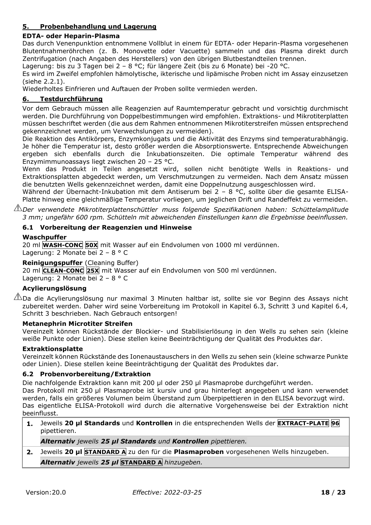## <span id="page-17-0"></span>**5. Probenbehandlung und Lagerung**

## **EDTA- oder Heparin-Plasma**

Das durch Venenpunktion entnommene Vollblut in einem für EDTA- oder Heparin-Plasma vorgesehenen Blutentnahmeröhrchen (z. B. Monovette oder Vacuette) sammeln und das Plasma direkt durch Zentrifugation (nach Angaben des Herstellers) von den übrigen Blutbestandteilen trennen.

Lagerung: bis zu 3 Tagen bei 2 – 8 °C; für längere Zeit (bis zu 6 Monate) bei -20 °C.

Es wird im Zweifel empfohlen hämolytische, ikterische und lipämische Proben nicht im Assay einzusetzen (siehe 2.2.1).

Wiederholtes Einfrieren und Auftauen der Proben sollte vermieden werden.

## <span id="page-17-1"></span>**6. Testdurchführung**

Vor dem Gebrauch müssen alle Reagenzien auf Raumtemperatur gebracht und vorsichtig durchmischt werden. Die Durchführung von Doppelbestimmungen wird empfohlen. Extraktions- und Mikrotiterplatten müssen beschriftet werden (die aus dem Rahmen entnommenen Mikrotiterstreifen müssen entsprechend gekennzeichnet werden, um Verwechslungen zu vermeiden).

Die Reaktion des Antikörpers, Enzymkonjugats und die Aktivität des Enzyms sind temperaturabhängig. Je höher die Temperatur ist, desto größer werden die Absorptionswerte. Entsprechende Abweichungen ergeben sich ebenfalls durch die Inkubationszeiten. Die optimale Temperatur während des Enzymimmunoassays liegt zwischen 20 – 25 °C.

Wenn das Produkt in Teilen angesetzt wird, sollen nicht benötigte Wells in Reaktions- und Extraktionsplatten abgedeckt werden, um Verschmutzungen zu vermeiden. Nach dem Ansatz müssen die benutzten Wells gekennzeichnet werden, damit eine Doppelnutzung ausgeschlossen wird.

Während der Übernacht-Inkubation mit dem Antiserum bei 2 – 8 °C, sollte über die gesamte ELISA-Platte hinweg eine gleichmäßige Temperatur vorliegen, um jeglichen Drift und Randeffekt zu vermeiden.

*Der verwendete Mikrotiterplattenschüttler muss folgende Spezifikationen haben: Schüttelamplitude 3 mm; ungefähr 600 rpm. Schütteln mit abweichenden Einstellungen kann die Ergebnisse beeinflussen.* 

## <span id="page-17-2"></span>**6.1 Vorbereitung der Reagenzien und Hinweise**

#### **Waschpuffer**

20 ml **WASH-CONC 50X** mit Wasser auf ein Endvolumen von 1000 ml verdünnen. Lagerung: 2 Monate bei 2 – 8 ° C

#### **Reinigungspuffer** (Cleaning Buffer)

20 ml **CLEAN-CONC 25X** mit Wasser auf ein Endvolumen von 500 ml verdünnen.

Lagerung: 2 Monate bei 2 – 8 ° C

## **Acylierungslösung**

 $\mathbb{A}\mathbb{D}$ Da die Acylierungslösung nur maximal 3 Minuten haltbar ist, sollte sie vor Beginn des Assays nicht zubereitet werden. Daher wird seine Vorbereitung im Protokoll in Kapitel 6.3, Schritt 3 und Kapitel 6.4, Schritt 3 beschrieben. Nach Gebrauch entsorgen!

#### **Metanephrin Microtiter Streifen**

Vereinzelt können Rückstände der Blockier- und Stabilisierlösung in den Wells zu sehen sein (kleine weiße Punkte oder Linien). Diese stellen keine Beeinträchtigung der Qualität des Produktes dar.

#### **Extraktionsplatte**

Vereinzelt können Rückstände des Ionenaustauschers in den Wells zu sehen sein (kleine schwarze Punkte oder Linien). Diese stellen keine Beeinträchtigung der Qualität des Produktes dar.

## <span id="page-17-3"></span>**6.2 Probenvorbereitung/Extraktion**

Die nachfolgende Extraktion kann mit 200 µl oder 250 µl Plasmaprobe durchgeführt werden.

Das Protokoll mit 250 µl Plasmaprobe ist kursiv und grau hinterlegt angegeben und kann verwendet werden, falls ein größeres Volumen beim Überstand zum Überpipettieren in den ELISA bevorzugt wird. Das eigentliche ELISA-Protokoll wird durch die alternative Vorgehensweise bei der Extraktion nicht beeinflusst.

**1.** Jeweils **20 µl Standards** und **Kontrollen** in die entsprechenden Wells der **EXTRACT-PLATE 96** pipettieren.

*Alternativ jeweils 25 µl Standards und Kontrollen pipettieren.*

**2.** Jeweils **20 µl STANDARD A** zu den für die **Plasmaproben** vorgesehenen Wells hinzugeben.

*Alternativ jeweils 25 µl* **STANDARD A** *hinzugeben.*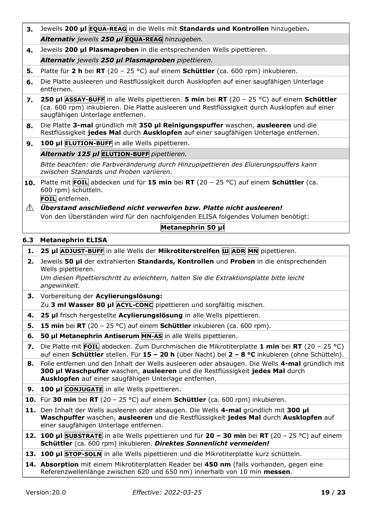<span id="page-18-0"></span>*Alternativ jeweils 250 µl* **EQUA-REAG** *hinzugeben.* **4.** Jeweils **200 µl Plasmaproben** in die entsprechenden Wells pipettieren. *Alternativ jeweils 250 µl Plasmaproben pipettieren.* **5.** Platte für **2 h** bei **RT** (20 – 25 °C) auf einem **Schüttler** (ca. 600 rpm) inkubieren. **6.** Die Platte ausleeren und Restflüssigkeit durch Ausklopfen auf einer saugfähigen Unterlage entfernen. **7. 250 µl ASSAY-BUFF** in alle Wells pipettieren. **5 min** bei **RT** (20 – 25 °C) auf einem **Schüttler** (ca. 600 rpm) inkubieren. Die Platte ausleeren und Restflüssigkeit durch Ausklopfen auf einer saugfähigen Unterlage entfernen. **8.** Die Platte **3-mal** gründlich mit **350 µl Reinigungspuffer** waschen, **ausleeren** und die Restflüssigkeit **jedes Mal** durch **Ausklopfen** auf einer saugfähigen Unterlage entfernen. **9. 100 µl ELUTION-BUFF** in alle Wells pipettieren. *Alternativ 125 µl* **ELUTION-BUFF** *pipettieren. Bitte beachten: die Farbveränderung durch Hinzupipettieren des Eluierungspuffers kann zwischen Standards und Proben variieren.* **10.** Platte mit **FOIL** abdecken und für **15 min** bei **RT** (20 – 25 °C) auf einem **Schüttler** (ca. 600 rpm) schütteln. **FOIL** entfernen. *Überstand anschließend nicht verwerfen bzw. Platte nicht ausleeren!* Von den Überständen wird für den nachfolgenden ELISA folgendes Volumen benötigt: **Metanephrin 50 μl 6.3 Metanephrin ELISA 1. 25 µl ADJUST-BUFF** in alle Wells der **Mikrotiterstreifen Ш ADR MN** pipettieren. **2.** Jeweils **50 µl** der extrahierten **Standards, Kontrollen** und **Proben** in die entsprechenden Wells pipettieren. *Um diesen Pipettierschritt zu erleichtern, halten Sie die Extraktionsplatte bitte leicht angewinkelt.* **3.** Vorbereitung der **Acylierungslösung:** Zu **3 ml Wasser 80 µl ACYL-CONC** pipettieren und sorgfältig mischen. **4. 25 µl** frisch hergestellte **Acylierungslösung** in alle Wells pipettieren. **5. 15 min** bei **RT** (20 – 25 °C) auf einem **Schüttler** inkubieren (ca. 600 rpm). **6. 50 µl Metanephrin Antiserum MN-AS** in alle Wells pipettieren. **7.** Die Platte mit **FOIL** abdecken. Zum Durchmischen die Mikrotiterplatte **1 min** bei **RT** (20 – 25 °C) auf einen **Schüttler** stellen. Für **15 – 20 h** (über Nacht) bei **2 – 8 °C** inkubieren (ohne Schütteln). **8.** Folie entfernen und den Inhalt der Wells ausleeren oder absaugen. Die Wells **4-mal** gründlich mit **300 µl Waschpuffer** waschen, **ausleeren** und die Restflüssigkeit **jedes Mal** durch **Ausklopfen** auf einer saugfähigen Unterlage entfernen. **9. 100 µl CONJUGATE** in alle Wells pipettieren. **10.** Für **30 min** bei **RT** (20 – 25 °C) auf einem **Schüttler** (ca. 600 rpm) inkubieren. **11.** Den Inhalt der Wells ausleeren oder absaugen. Die Wells **4-mal** gründlich mit **300 µl Waschpuffer** waschen, **ausleeren** und die Restflüssigkeit **jedes Mal** durch **Ausklopfen** auf einer saugfähigen Unterlage entfernen. **12. 100 µl SUBSTRATE** in alle Wells pipettieren und für **20 – 30 min** bei **RT** (20 – 25 °C) auf einem **Schüttler** (ca. 600 rpm) inkubieren. *Direktes Sonnenlicht vermeiden!* **13. 100 µl STOP-SOLN** in alle Wells pipettieren und die Mikrotiterplatte kurz schütteln. **14. Absorption** mit einem Mikrotiterplatten Reader bei **450 nm** (falls vorhanden, gegen eine Referenzwellenlänge zwischen 620 und 650 nm) innerhalb von 10 min **messen**.

**3.** Jeweils **200 μl EQUA-REAG** in die Wells mit **Standards und Kontrollen** hinzugeben**.**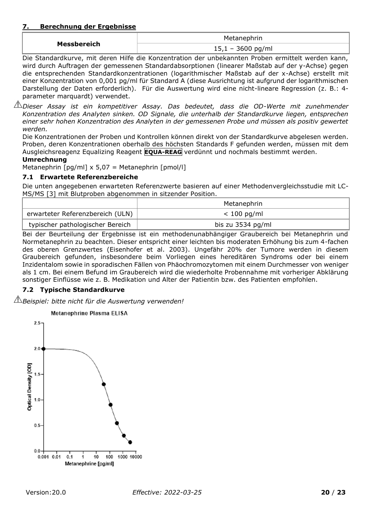#### <span id="page-19-0"></span>**7. Berechnung der Ergebnisse**

|             | Metanephrin                               |
|-------------|-------------------------------------------|
| Messbereich | $15,1 - 3600$ pg/ml<br><u>sovu</u><br>P91 |

Die Standardkurve, mit deren Hilfe die Konzentration der unbekannten Proben ermittelt werden kann, wird durch Auftragen der gemessenen Standardabsorptionen (linearer Maßstab auf der y-Achse) gegen die entsprechenden Standardkonzentrationen (logarithmischer Maßstab auf der x-Achse) erstellt mit einer Konzentration von 0,001 pg/ml für Standard A (diese Ausrichtung ist aufgrund der logarithmischen Darstellung der Daten erforderlich). Für die Auswertung wird eine nicht-lineare Regression (z. B.: 4 parameter marquardt) verwendet.

*Dieser Assay ist ein kompetitiver Assay. Das bedeutet, dass die OD-Werte mit zunehmender Konzentration des Analyten sinken. OD Signale, die unterhalb der Standardkurve liegen, entsprechen einer sehr hohen Konzentration des Analyten in der gemessenen Probe und müssen als positiv gewertet werden.*

Die Konzentrationen der Proben und Kontrollen können direkt von der Standardkurve abgelesen werden. Proben, deren Konzentrationen oberhalb des höchsten Standards F gefunden werden, müssen mit dem Ausgleichsreagenz Equalizing Reagent **EQUA-REAG** verdünnt und nochmals bestimmt werden.

#### **Umrechnung**

Metanephrin  $\lceil pq/ml \times 5.07 = Metanephrin \lceil pmol/l \rceil$ 

## <span id="page-19-1"></span>**7.1 Erwartete Referenzbereiche**

Die unten angegebenen erwarteten Referenzwerte basieren auf einer Methodenvergleichsstudie mit LC-MS/MS [3] mit Blutproben abgenommen in sitzender Position.

|                                  | Metanephrin       |
|----------------------------------|-------------------|
| erwarteter Referenzbereich (ULN) | $< 100$ pg/ml     |
| typischer pathologischer Bereich | bis zu 3534 pg/ml |

Bei der Beurteilung der Ergebnisse ist ein methodenunabhängiger Graubereich bei Metanephrin und Normetanephrin zu beachten. Dieser entspricht einer leichten bis moderaten Erhöhung bis zum 4-fachen des oberen Grenzwertes (Eisenhofer et al. 2003). Ungefähr 20% der Tumore werden in diesem Graubereich gefunden, insbesondere beim Vorliegen eines hereditären Syndroms oder bei einem Inzidentalom sowie in sporadischen Fällen von Phäochromozytomen mit einem Durchmesser von weniger als 1 cm. Bei einem Befund im Graubereich wird die wiederholte Probennahme mit vorheriger Abklärung sonstiger Einflüsse wie z. B. Medikation und Alter der Patientin bzw. des Patienten empfohlen.

## <span id="page-19-2"></span>**7.2 Typische Standardkurve**

*Beispiel: bitte nicht für die Auswertung verwenden!*

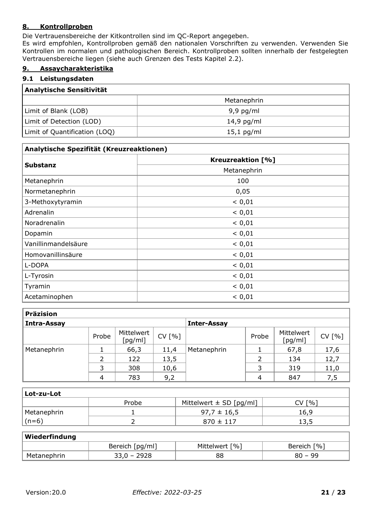## <span id="page-20-0"></span>**8. Kontrollproben**

Die Vertrauensbereiche der Kitkontrollen sind im QC-Report angegeben.

Es wird empfohlen, Kontrollproben gemäß den nationalen Vorschriften zu verwenden. Verwenden Sie Kontrollen im normalen und pathologischen Bereich. Kontrollproben sollten innerhalb der festgelegten Vertrauensbereiche liegen (siehe auch Grenzen des Tests Kapitel 2.2).

## <span id="page-20-1"></span>**9. Assaycharakteristika**

#### <span id="page-20-2"></span>**9.1 Leistungsdaten**

| <b>Analytische Sensitivität</b> |              |  |  |
|---------------------------------|--------------|--|--|
|                                 | Metanephrin  |  |  |
| Limit of Blank (LOB)            | $9,9$ pg/ml  |  |  |
| Limit of Detection (LOD)        | $14,9$ pg/ml |  |  |
| Limit of Quantification (LOQ)   | $15,1$ pg/ml |  |  |

| Analytische Spezifität (Kreuzreaktionen) |                          |  |  |  |
|------------------------------------------|--------------------------|--|--|--|
|                                          | <b>Kreuzreaktion [%]</b> |  |  |  |
| <b>Substanz</b>                          | Metanephrin              |  |  |  |
| Metanephrin                              | 100                      |  |  |  |
| Normetanephrin                           | 0,05                     |  |  |  |
| 3-Methoxytyramin                         | < 0,01                   |  |  |  |
| Adrenalin                                | < 0,01                   |  |  |  |
| Noradrenalin                             | < 0,01                   |  |  |  |
| Dopamin                                  | < 0,01                   |  |  |  |
| Vanillinmandelsäure                      | < 0,01                   |  |  |  |
| Homovanillinsäure                        | < 0,01                   |  |  |  |
| L-DOPA                                   | < 0,01                   |  |  |  |
| L-Tyrosin                                | < 0,01                   |  |  |  |
| Tyramin                                  | < 0,01                   |  |  |  |
| Acetaminophen                            | < 0,01                   |  |  |  |

| <b>Präzision</b> |       |                       |                    |             |       |                       |        |
|------------------|-------|-----------------------|--------------------|-------------|-------|-----------------------|--------|
| Intra-Assay      |       |                       | <b>Inter-Assay</b> |             |       |                       |        |
|                  | Probe | Mittelwert<br>[pg/ml] | CV [%]             |             | Probe | Mittelwert<br>[pg/ml] | CV [%] |
| Metanephrin      |       | 66,3                  | 11,4               | Metanephrin |       | 67,8                  | 17,6   |
|                  |       | 122                   | 13,5               |             |       | 134                   | 12,7   |
|                  | 3     | 308                   | 10,6               |             | 3     | 319                   | 11,0   |
|                  | 4     | 783                   | 9,2                |             | 4     | 847                   | 7,5    |

| Lot-zu-Lot    |       |                             |        |
|---------------|-------|-----------------------------|--------|
|               | Probe | Mittelwert $\pm$ SD [pg/ml] | CV [%] |
| Metanephrin   |       | $97.7 \pm 16.5$             | 16,9   |
| $\vert$ (n=6) |       | $870 \pm 117$               | ر, د 1 |

#### **Wiederfindung**

| ---------------- |                                |                                   |                                        |  |
|------------------|--------------------------------|-----------------------------------|----------------------------------------|--|
|                  | [pg/ml]<br><b>Bereich</b><br>. | $\lceil \frac{0}{6} \rceil$<br>Mı | $\lceil \frac{0}{0} \rceil$<br>Bereich |  |
| M.               | ムノムロ<br>--                     | oc<br>õČ                          | יר<br>- -                              |  |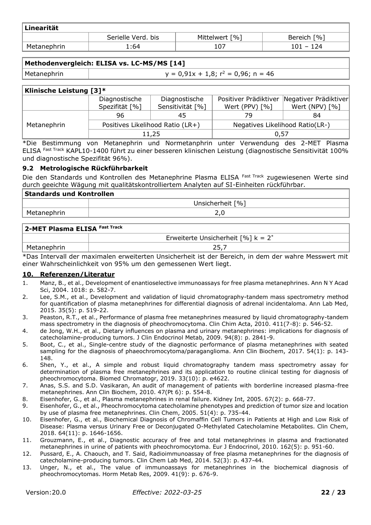| Linearität  |                    |                |                               |  |  |
|-------------|--------------------|----------------|-------------------------------|--|--|
|             | Serielle Verd. bis | Mittelwert [%] | $\lceil \% \rceil$<br>Bereich |  |  |
| Metanephrin | .:64               | 107            | 101 - 124                     |  |  |

## **Methodenvergleich: ELISA vs. LC-MS/MS [14]**

Metanephrin  $y = 0.91x + 1.8$ ;  $r^2 = 0.96$ ; n = 46

| <b>Klinische Leistung [3]*</b> |                |                                  |                                 |                                               |  |
|--------------------------------|----------------|----------------------------------|---------------------------------|-----------------------------------------------|--|
|                                | Diagnostische  | Diagnostische                    |                                 | Positiver Prädiktiver   Negativer Prädiktiver |  |
|                                | Spezifität [%] | Sensitivität [%]                 | Wert (PPV) $[%]$                | Wert (NPV) [%]                                |  |
|                                | 96             | 45                               | 79                              | 84                                            |  |
| Metanephrin                    |                | Positives Likelihood Ratio (LR+) | Negatives Likelihood Ratio(LR-) |                                               |  |
|                                |                | 11,25                            | 0,57                            |                                               |  |

\*Die Bestimmung von Metanephrin und Normetanphrin unter Verwendung des 2-MET Plasma ELISA Fast Track KAPL10-1400 führt zu einer besseren klinischen Leistung (diagnostische Sensitivität 100% und diagnostische Spezifität 96%).

## <span id="page-21-0"></span>**9.2 Metrologische Rückführbarkeit**

Die den Standards und Kontrollen des Metanephrine Plasma ELISA Fast Track zugewiesenen Werte sind durch geeichte Wägung mit qualitätskontrolliertem Analyten auf SI-Einheiten rückführbar.

| <b>Standards und Kontrollen</b> |                  |  |  |
|---------------------------------|------------------|--|--|
|                                 | Unsicherheit [%] |  |  |
| Metanephrin                     |                  |  |  |

# **2-MET Plasma ELISA Fast Track** Erweiterte Unsicherheit  $[%]$  k = 2<sup>\*</sup> Metanephrin and the contract of the contract of the contract of the contract of the contract of the contract of the contract of the contract of the contract of the contract of the contract of the contract of the contract o

\*Das Intervall der maximalen erweiterten Unsicherheit ist der Bereich, in dem der wahre Messwert mit einer Wahrscheinlichkeit von 95% um den gemessenen Wert liegt.

## <span id="page-21-1"></span>**10. Referenzen/Literatur**

- 1. Manz, B., et al., Development of enantioselective immunoassays for free plasma metanephrines. Ann N Y Acad Sci, 2004. 1018: p. 582-7.
- 2. Lee, S.M., et al., Development and validation of liquid chromatography-tandem mass spectrometry method for quantification of plasma metanephrines for differential diagnosis of adrenal incidentaloma. Ann Lab Med, 2015. 35(5): p. 519-22.
- 3. Peaston, R.T., et al., Performance of plasma free metanephrines measured by liquid chromatography-tandem mass spectrometry in the diagnosis of pheochromocytoma. Clin Chim Acta, 2010. 411(7-8): p. 546-52.
- 4. de Jong, W.H., et al., Dietary influences on plasma and urinary metanephrines: implications for diagnosis of catecholamine-producing tumors. J Clin Endocrinol Metab, 2009. 94(8): p. 2841-9.
- 5. Boot, C., et al., Single-centre study of the diagnostic performance of plasma metanephrines with seated sampling for the diagnosis of phaeochromocytoma/paraganglioma. Ann Clin Biochem, 2017. 54(1): p. 143- 148.
- 6. Shen, Y., et al., A simple and robust liquid chromatography tandem mass spectrometry assay for determination of plasma free metanephrines and its application to routine clinical testing for diagnosis of pheochromocytoma. Biomed Chromatogr, 2019. 33(10): p. e4622.
- 7. Anas, S.S. and S.D. Vasikaran, An audit of management of patients with borderline increased plasma-free metanephrines. Ann Clin Biochem, 2010. 47(Pt 6): p. 554-8.
- 8. Eisenhofer, G., et al., Plasma metanephrines in renal failure. Kidney Int, 2005. 67(2): p. 668-77.
- 9. Eisenhofer, G., et al., Pheochromocytoma catecholamine phenotypes and prediction of tumor size and location by use of plasma free metanephrines. Clin Chem, 2005. 51(4): p. 735-44.
- 10. Eisenhofer, G., et al., Biochemical Diagnosis of Chromaffin Cell Tumors in Patients at High and Low Risk of Disease: Plasma versus Urinary Free or Deconjugated O-Methylated Catecholamine Metabolites. Clin Chem, 2018. 64(11): p. 1646-1656.
- 11. Grouzmann, E., et al., Diagnostic accuracy of free and total metanephrines in plasma and fractionated metanephrines in urine of patients with pheochromocytoma. Eur J Endocrinol, 2010. 162(5): p. 951-60.
- 12. Pussard, E., A. Chaouch, and T. Said, Radioimmunoassay of free plasma metanephrines for the diagnosis of catecholamine-producing tumors. Clin Chem Lab Med, 2014. 52(3): p. 437-44.
- 13. Unger, N., et al., The value of immunoassays for metanephrines in the biochemical diagnosis of pheochromocytomas. Horm Metab Res, 2009. 41(9): p. 676-9.